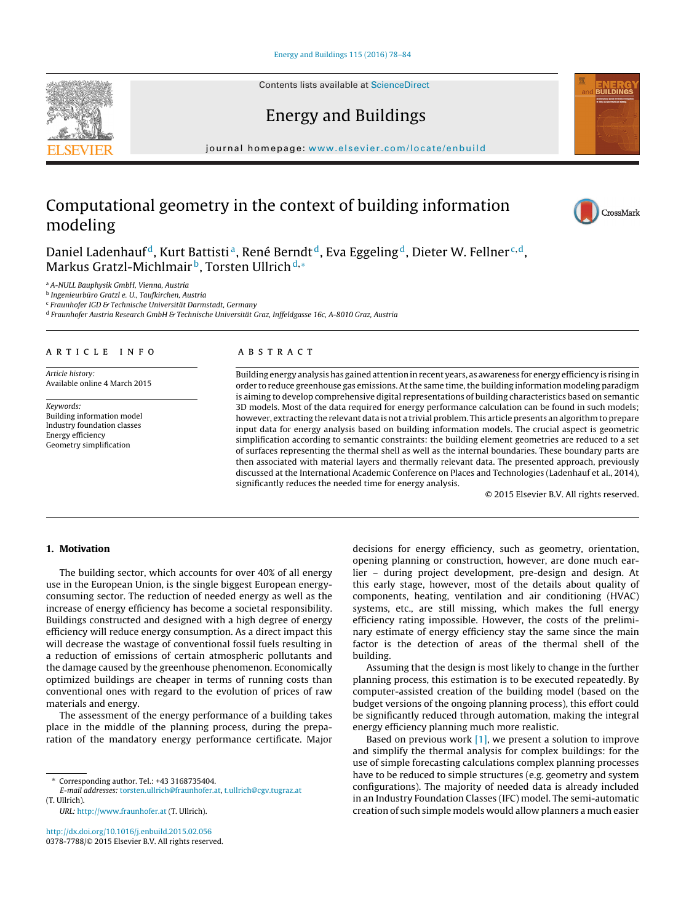Contents lists available at [ScienceDirect](http://www.sciencedirect.com/science/journal/03787788)



### iournal homepage: [www.elsevier.com/locate/enbuild](http://www.elsevier.com/locate/enbuild)

Energy and Buildings

## Computational geometry in the context of building information modeling



Daniel Ladenhauf<sup>d</sup>, Kurt Battisti<sup>a</sup>, René Berndt<sup>d</sup>, Eva Eggeling<sup>d</sup>, Dieter W. Fellner<sup>c,d</sup>, Markus Gratzl-Michlmair<sup>b</sup>, Torsten Ullrich<sup>d,∗</sup>

<sup>a</sup> A-NULL Bauphysik GmbH, Vienna, Austria

<sup>b</sup> Ingenieurbüro Gratzl e. U., Taufkirchen, Austria

<sup>c</sup> Fraunhofer IGD & Technische Universität Darmstadt, Germany

<sup>d</sup> Fraunhofer Austria Research GmbH & Technische Universität Graz, Inffeldgasse 16c, A-8010 Graz, Austria

#### a r t i c l e i n f o

Article history: Available online 4 March 2015

Keywords: Building information model Industry foundation classes Energy efficiency Geometry simplification

#### A B S T R A C T

Building energy analysis has gained attention in recent years, as awareness for energy efficiency is rising in order to reduce greenhouse gas emissions. At the same time, the building information modeling paradigm is aiming to develop comprehensive digital representations of building characteristics based on semantic 3D models. Most of the data required for energy performance calculation can be found in such models; however, extracting the relevant data is not a trivial problem. This article presents an algorithm to prepare input data for energy analysis based on building information models. The crucial aspect is geometric simplification according to semantic constraints: the building element geometries are reduced to a set of surfaces representing the thermal shell as well as the internal boundaries. These boundary parts are then associated with material layers and thermally relevant data. The presented approach, previously discussed at the International Academic Conference on Places and Technologies (Ladenhauf et al., 2014), significantly reduces the needed time for energy analysis.

© 2015 Elsevier B.V. All rights reserved.

### **1. Motivation**

The building sector, which accounts for over 40% of all energy use in the European Union, is the single biggest European energyconsuming sector. The reduction of needed energy as well as the increase of energy efficiency has become a societal responsibility. Buildings constructed and designed with a high degree of energy efficiency will reduce energy consumption. As a direct impact this will decrease the wastage of conventional fossil fuels resulting in a reduction of emissions of certain atmospheric pollutants and the damage caused by the greenhouse phenomenon. Economically optimized buildings are cheaper in terms of running costs than conventional ones with regard to the evolution of prices of raw materials and energy.

The assessment of the energy performance of a building takes place in the middle of the planning process, during the preparation of the mandatory energy performance certificate. Major

URL: <http://www.fraunhofer.at> (T. Ullrich).

[http://dx.doi.org/10.1016/j.enbuild.2015.02.056](dx.doi.org/10.1016/j.enbuild.2015.02.056) 0378-7788/© 2015 Elsevier B.V. All rights reserved. decisions for energy efficiency, such as geometry, orientation, opening planning or construction, however, are done much earlier – during project development, pre-design and design. At this early stage, however, most of the details about quality of components, heating, ventilation and air conditioning (HVAC) systems, etc., are still missing, which makes the full energy efficiency rating impossible. However, the costs of the preliminary estimate of energy efficiency stay the same since the main factor is the detection of areas of the thermal shell of the building.

Assuming that the design is most likely to change in the further planning process, this estimation is to be executed repeatedly. By computer-assisted creation of the building model (based on the budget versions of the ongoing planning process), this effort could be significantly reduced through automation, making the integral energy efficiency planning much more realistic.

Based on previous work  $[1]$ , we present a solution to improve and simplify the thermal analysis for complex buildings: for the use of simple forecasting calculations complex planning processes have to be reduced to simple structures (e.g. geometry and system configurations). The majority of needed data is already included in an Industry Foundation Classes (IFC) model. The semi-automatic creation of such simple models would allow planners a much easier

<sup>∗</sup> Corresponding author. Tel.: +43 3168735404.

E-mail addresses: [torsten.ullrich@fraunhofer.at](mailto:torsten.ullrich@fraunhofer.at), [t.ullrich@cgv.tugraz.at](mailto:t.ullrich@cgv.tugraz.at) (T. Ullrich).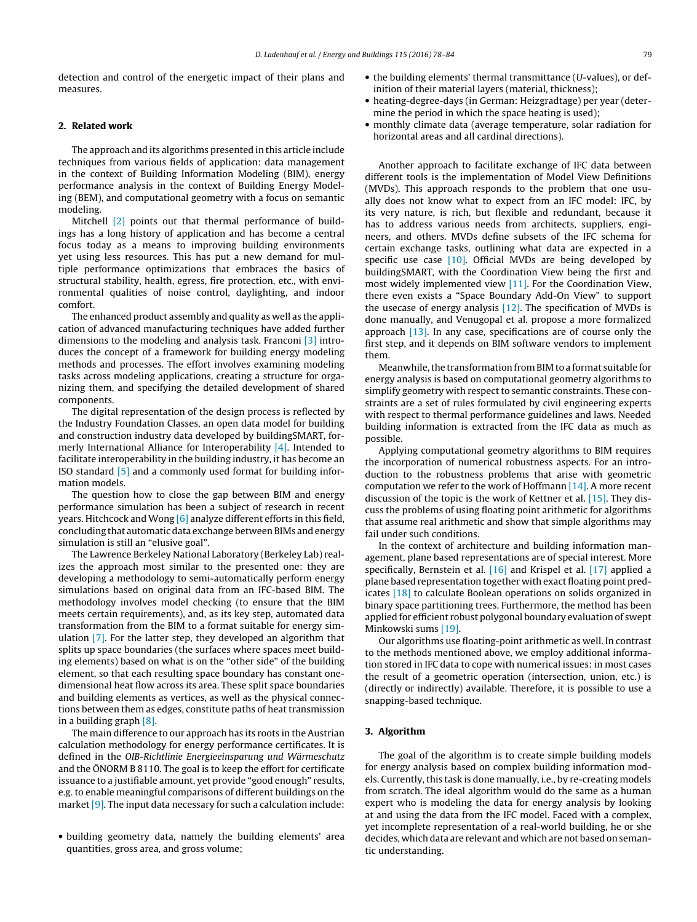detection and control of the energetic impact of their plans and measures.

#### **2. Related work**

The approach and its algorithms presented in this article include techniques from various fields of application: data management in the context of Building Information Modeling (BIM), energy performance analysis in the context of Building Energy Modeling (BEM), and computational geometry with a focus on semantic modeling.

Mitchell [\[2\]](#page--1-0) points out that thermal performance of buildings has a long history of application and has become a central focus today as a means to improving building environments yet using less resources. This has put a new demand for multiple performance optimizations that embraces the basics of structural stability, health, egress, fire protection, etc., with environmental qualities of noise control, daylighting, and indoor comfort.

The enhanced product assembly and quality as well as the application of advanced manufacturing techniques have added further dimensions to the modeling and analysis task. Franconi [\[3\]](#page--1-0) introduces the concept of a framework for building energy modeling methods and processes. The effort involves examining modeling tasks across modeling applications, creating a structure for organizing them, and specifying the detailed development of shared components.

The digital representation of the design process is reflected by the Industry Foundation Classes, an open data model for building and construction industry data developed by buildingSMART, formerly International Alliance for Interoperability [\[4\].](#page--1-0) Intended to facilitate interoperability in the building industry, it has become an ISO standard [\[5\]](#page--1-0) and a commonly used format for building information models.

The question how to close the gap between BIM and energy performance simulation has been a subject of research in recent years. Hitchcock and Wong [\[6\]](#page--1-0) analyze different efforts in this field, concluding that automatic data exchange between BIMs and energy simulation is still an "elusive goal".

The Lawrence Berkeley National Laboratory (Berkeley Lab) realizes the approach most similar to the presented one: they are developing a methodology to semi-automatically perform energy simulations based on original data from an IFC-based BIM. The methodology involves model checking (to ensure that the BIM meets certain requirements), and, as its key step, automated data transformation from the BIM to a format suitable for energy simulation [\[7\].](#page--1-0) For the latter step, they developed an algorithm that splits up space boundaries (the surfaces where spaces meet building elements) based on what is on the "other side" of the building element, so that each resulting space boundary has constant onedimensional heat flow across its area. These split space boundaries and building elements as vertices, as well as the physical connections between them as edges, constitute paths of heat transmission in a building graph [\[8\].](#page--1-0)

The main difference to our approach has its roots in the Austrian calculation methodology for energy performance certificates. It is defined in the OIB-Richtlinie Energieeinsparung und Wärmeschutz and the ÖNORM B 8110. The goal is to keep the effort for certificate issuance to a justifiable amount, yet provide "good enough" results, e.g. to enable meaningful comparisons of different buildings on the market [\[9\].](#page--1-0) The input data necessary for such a calculation include:

• building geometry data, namely the building elements' area quantities, gross area, and gross volume;

- the building elements' thermal transmittance (U-values), or definition of their material layers (material, thickness);
- heating-degree-days (in German: Heizgradtage) per year (determine the period in which the space heating is used);
- monthly climate data (average temperature, solar radiation for horizontal areas and all cardinal directions).

Another approach to facilitate exchange of IFC data between different tools is the implementation of Model View Definitions (MVDs). This approach responds to the problem that one usually does not know what to expect from an IFC model: IFC, by its very nature, is rich, but flexible and redundant, because it has to address various needs from architects, suppliers, engineers, and others. MVDs define subsets of the IFC schema for certain exchange tasks, outlining what data are expected in a specific use case [\[10\].](#page--1-0) Official MVDs are being developed by buildingSMART, with the Coordination View being the first and most widely implemented view [\[11\].](#page--1-0) For the Coordination View, there even exists a "Space Boundary Add-On View" to support the usecase of energy analysis  $[12]$ . The specification of MVDs is done manually, and Venugopal et al. propose a more formalized approach [\[13\].](#page--1-0) In any case, specifications are of course only the first step, and it depends on BIM software vendors to implement them.

Meanwhile, the transformation from BIM to a format suitable for energy analysis is based on computational geometry algorithms to simplify geometry with respect to semantic constraints. These constraints are a set of rules formulated by civil engineering experts with respect to thermal performance guidelines and laws. Needed building information is extracted from the IFC data as much as possible.

Applying computational geometry algorithms to BIM requires the incorporation of numerical robustness aspects. For an introduction to the robustness problems that arise with geometric computation we refer to the work of Hoffmann [\[14\].](#page--1-0) A more recent discussion of the topic is the work of Kettner et al. [\[15\].](#page--1-0) They discuss the problems of using floating point arithmetic for algorithms that assume real arithmetic and show that simple algorithms may fail under such conditions.

In the context of architecture and building information management, plane based representations are of special interest. More specifically, Bernstein et al. [\[16\]](#page--1-0) and Krispel et al. [\[17\]](#page--1-0) applied a plane based representation together with exact floating point predicates [\[18\]](#page--1-0) to calculate Boolean operations on solids organized in binary space partitioning trees. Furthermore, the method has been applied for efficient robust polygonal boundary evaluation of swept Minkowski sums [\[19\].](#page--1-0)

Our algorithms use floating-point arithmetic as well. In contrast to the methods mentioned above, we employ additional information stored in IFC data to cope with numerical issues: in most cases the result of a geometric operation (intersection, union, etc.) is (directly or indirectly) available. Therefore, it is possible to use a snapping-based technique.

#### **3. Algorithm**

The goal of the algorithm is to create simple building models for energy analysis based on complex building information models. Currently, this task is done manually, i.e., by re-creating models from scratch. The ideal algorithm would do the same as a human expert who is modeling the data for energy analysis by looking at and using the data from the IFC model. Faced with a complex, yet incomplete representation of a real-world building, he or she decides, which data are relevant and which are not based on semantic understanding.